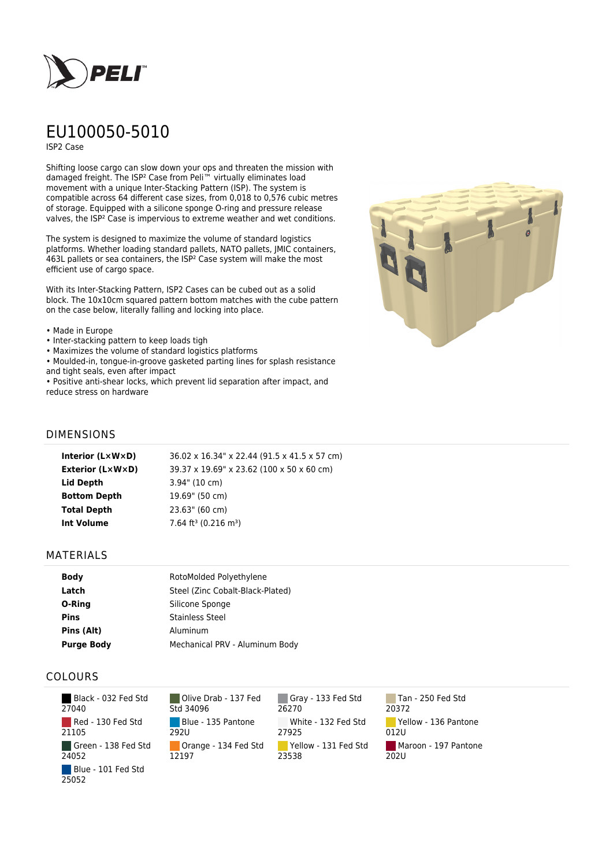

# EU100050-5010

ISP2 Case

Shifting loose cargo can slow down your ops and threaten the mission with damaged freight. The ISP² Case from Peli™ virtually eliminates load movement with a unique Inter-Stacking Pattern (ISP). The system is compatible across 64 different case sizes, from 0,018 to 0,576 cubic metres of storage. Equipped with a silicone sponge O-ring and pressure release valves, the ISP² Case is impervious to extreme weather and wet conditions.

The system is designed to maximize the volume of standard logistics platforms. Whether loading standard pallets, NATO pallets, JMIC containers, 463L pallets or sea containers, the ISP² Case system will make the most efficient use of cargo space.

With its Inter-Stacking Pattern, ISP2 Cases can be cubed out as a solid block. The 10x10cm squared pattern bottom matches with the cube pattern on the case below, literally falling and locking into place.

#### • Made in Europe

- Inter-stacking pattern to keep loads tigh
- Maximizes the volume of standard logistics platforms
- Moulded-in, tongue-in-groove gasketed parting lines for splash resistance and tight seals, even after impact

• Positive anti-shear locks, which prevent lid separation after impact, and reduce stress on hardware



## DIMENSIONS

| Interior $(L \times W \times D)$ | 36.02 x 16.34" x 22.44 (91.5 x 41.5 x 57 cm)   |
|----------------------------------|------------------------------------------------|
| <b>Exterior (L×W×D)</b>          | 39.37 x 19.69" x 23.62 (100 x 50 x 60 cm)      |
| Lid Depth                        | $3.94$ " (10 cm)                               |
| <b>Bottom Depth</b>              | 19.69" (50 cm)                                 |
| <b>Total Depth</b>               | 23.63" (60 cm)                                 |
| <b>Int Volume</b>                | $7.64$ ft <sup>3</sup> (0.216 m <sup>3</sup> ) |
|                                  |                                                |

### MATERIALS

| <b>Body</b>       | RotoMolded Polyethylene          |
|-------------------|----------------------------------|
| Latch             | Steel (Zinc Cobalt-Black-Plated) |
| O-Ring            | Silicone Sponge                  |
| <b>Pins</b>       | <b>Stainless Steel</b>           |
| Pins (Alt)        | Aluminum                         |
| <b>Purge Body</b> | Mechanical PRV - Aluminum Body   |

## COLOURS

 Black - 032 Fed Std 27040 Red - 130 Fed Std 21105 Green - 138 Fed Std 24052 Blue - 101 Fed Std 25052

Olive Drab - 137 Fed Std 34096 Blue - 135 Pantone 292U Orange - 134 Fed Std 12197

Gray - 133 Fed Std 26270 White - 132 Fed Std 27925 Yellow - 131 Fed Std 23538

Tan - 250 Fed Std 20372 Yellow - 136 Pantone 012U Maroon - 197 Pantone  $202U$